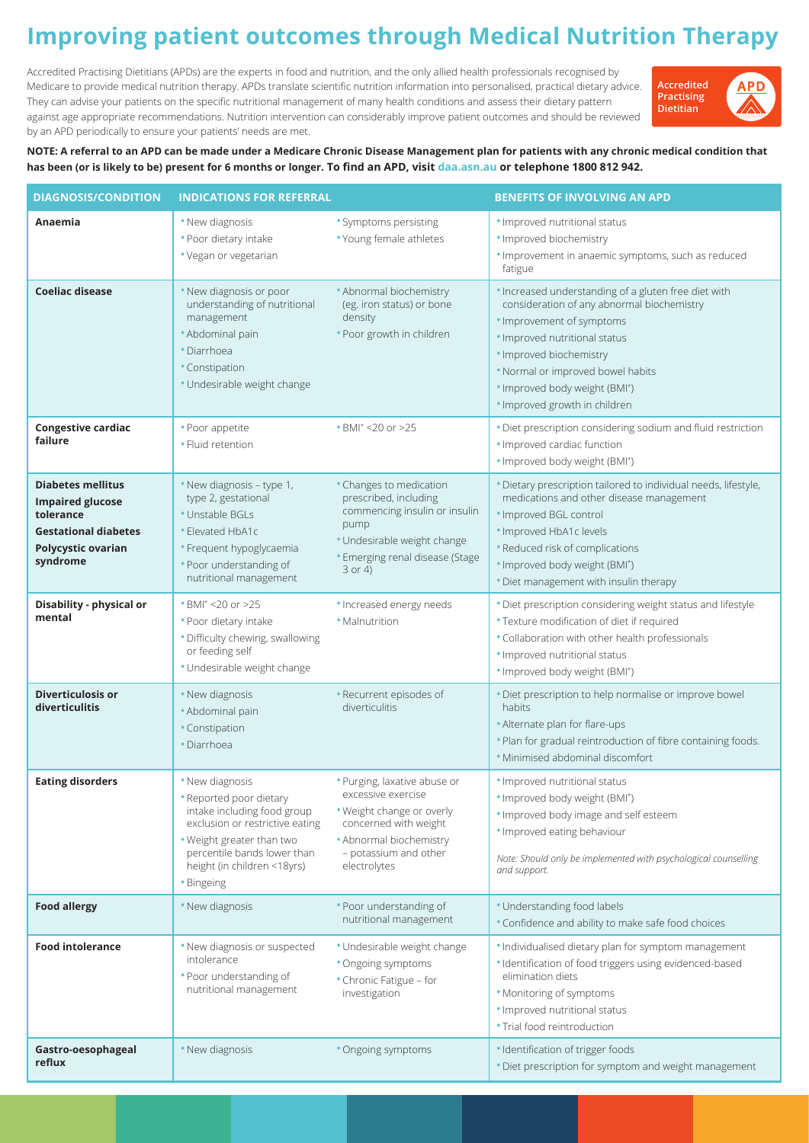## **Improving patient outcomes through Medical Nutrition Therapy**

Accredited Practising Dietitians (APDs) are the experts in food and nutrition, and the only allied health professionals recognised by Medicare to provide medical nutrition therapy. APDs translate scientific nutrition information into personalised, practical dietary advice. They can advise your patients on the specific nutritional management of many health conditions and assess their dietary pattern against age appropriate recommendations. Nutrition intervention can considerably improve patient outcomes and should be reviewed by an APD periodically to ensure your patients' needs are met.



**NOTE: A referral to an APD can be made under a Medicare Chronic Disease Management plan for patients with any chronic medical condition that has been (or is likely to be) present for 6 months or longer. To find an APD, visit daa.asn.au or telephone 1800 812 942.**

| <b>DIAGNOSIS/CONDITION</b>                                                                                                               | <b>INDICATIONS FOR REFERRAL</b>                                                                                                                                                                                       |                                                                                                                                                                              | <b>BENEFITS OF INVOLVING AN APD</b>                                                                                                                                                                                                                                                                |
|------------------------------------------------------------------------------------------------------------------------------------------|-----------------------------------------------------------------------------------------------------------------------------------------------------------------------------------------------------------------------|------------------------------------------------------------------------------------------------------------------------------------------------------------------------------|----------------------------------------------------------------------------------------------------------------------------------------------------------------------------------------------------------------------------------------------------------------------------------------------------|
| Anaemia                                                                                                                                  | . New diagnosis<br>• Poor dietary intake<br>• Vegan or vegetarian                                                                                                                                                     | • Symptoms persisting<br>• Young female athletes                                                                                                                             | . Improved nutritional status<br>· Improved biochemistry<br>. Improvement in anaemic symptoms, such as reduced<br>fatigue                                                                                                                                                                          |
| <b>Coeliac disease</b>                                                                                                                   | . New diagnosis or poor<br>understanding of nutritional<br>management<br>· Abdominal pain<br>· Diarrhoea<br>• Constipation<br>· Undesirable weight change                                                             | • Abnormal biochemistry<br>(eg. iron status) or bone<br>density<br>• Poor growth in children                                                                                 | . Increased understanding of a gluten free diet with<br>consideration of any abnormal biochemistry<br>· Improvement of symptoms<br>· Improved nutritional status<br>· Improved biochemistry<br>. Normal or improved bowel habits<br>· Improved body weight (BMI*)<br>· Improved growth in children |
| <b>Congestive cardiac</b><br>failure                                                                                                     | • Poor appetite<br>• Fluid retention                                                                                                                                                                                  | • BMI <sup>*</sup> <20 or >25                                                                                                                                                | . Diet prescription considering sodium and fluid restriction<br>· Improved cardiac function<br>· Improved body weight (BMI*)                                                                                                                                                                       |
| <b>Diabetes mellitus</b><br><b>Impaired glucose</b><br>tolerance<br><b>Gestational diabetes</b><br><b>Polycystic ovarian</b><br>syndrome | . New diagnosis - type 1,<br>type 2, gestational<br>• Unstable BGLs<br>• Elevated HbA1c<br>· Frequent hypoglycaemia<br>. Poor understanding of<br>nutritional management                                              | • Changes to medication<br>prescribed, including<br>commencing insulin or insulin<br>pump<br>· Undesirable weight change<br>• Emerging renal disease (Stage<br>$3$ or 4)     | · Dietary prescription tailored to individual needs, lifestyle,<br>medications and other disease management<br>· Improved BGL control<br>· Improved HbA1c levels<br>• Reduced risk of complications<br>· Improved body weight (BMI*)<br>. Diet management with insulin therapy                     |
| Disability - physical or<br>mental                                                                                                       | • BMI <sup>*</sup> <20 or >25<br>• Poor dietary intake<br>· Difficulty chewing, swallowing<br>or feeding self<br>· Undesirable weight change                                                                          | · Increased energy needs<br>• Malnutrition                                                                                                                                   | . Diet prescription considering weight status and lifestyle<br>• Texture modification of diet if required<br>. Collaboration with other health professionals<br>· Improved nutritional status<br>· Improved body weight (BMI*)                                                                     |
| <b>Diverticulosis or</b><br>diverticulitis                                                                                               | • New diagnosis<br>· Abdominal pain<br>• Constipation<br>· Diarrhoea                                                                                                                                                  | • Recurrent episodes of<br>diverticulitis                                                                                                                                    | · Diet prescription to help normalise or improve bowel<br>habits<br>• Alternate plan for flare-ups<br>. Plan for gradual reintroduction of fibre containing foods.<br>· Minimised abdominal discomfort                                                                                             |
| <b>Eating disorders</b>                                                                                                                  | . New diagnosis<br>• Reported poor dietary<br>intake including food group<br>exclusion or restrictive eating<br>. Weight greater than two<br>percentile bands lower than<br>height (in children <18yrs)<br>• Bingeing | · Purging, laxative abuse or<br>excessive exercise<br>. Weight change or overly<br>concerned with weight<br>• Abnormal biochemistry<br>- potassium and other<br>electrolytes | · Improved nutritional status<br>· Improved body weight (BMI*)<br>. Improved body image and self esteem<br>. Improved eating behaviour<br>Note: Should only be implemented with psychological counselling<br>and support.                                                                          |
| <b>Food allergy</b>                                                                                                                      | • New diagnosis                                                                                                                                                                                                       | • Poor understanding of<br>nutritional management                                                                                                                            | • Understanding food labels<br>• Confidence and ability to make safe food choices                                                                                                                                                                                                                  |
| <b>Food intolerance</b>                                                                                                                  | • New diagnosis or suspected<br>intolerance<br>• Poor understanding of<br>nutritional management                                                                                                                      | · Undesirable weight change<br>• Ongoing symptoms<br>• Chronic Fatigue - for<br>investigation                                                                                | . Individualised dietary plan for symptom management<br>· Identification of food triggers using evidenced-based<br>elimination diets<br>• Monitoring of symptoms<br>· Improved nutritional status<br>· Trial food reintroduction                                                                   |
| Gastro-oesophageal<br>reflux                                                                                                             | • New diagnosis                                                                                                                                                                                                       | • Ongoing symptoms                                                                                                                                                           | · Identification of trigger foods<br>. Diet prescription for symptom and weight management                                                                                                                                                                                                         |